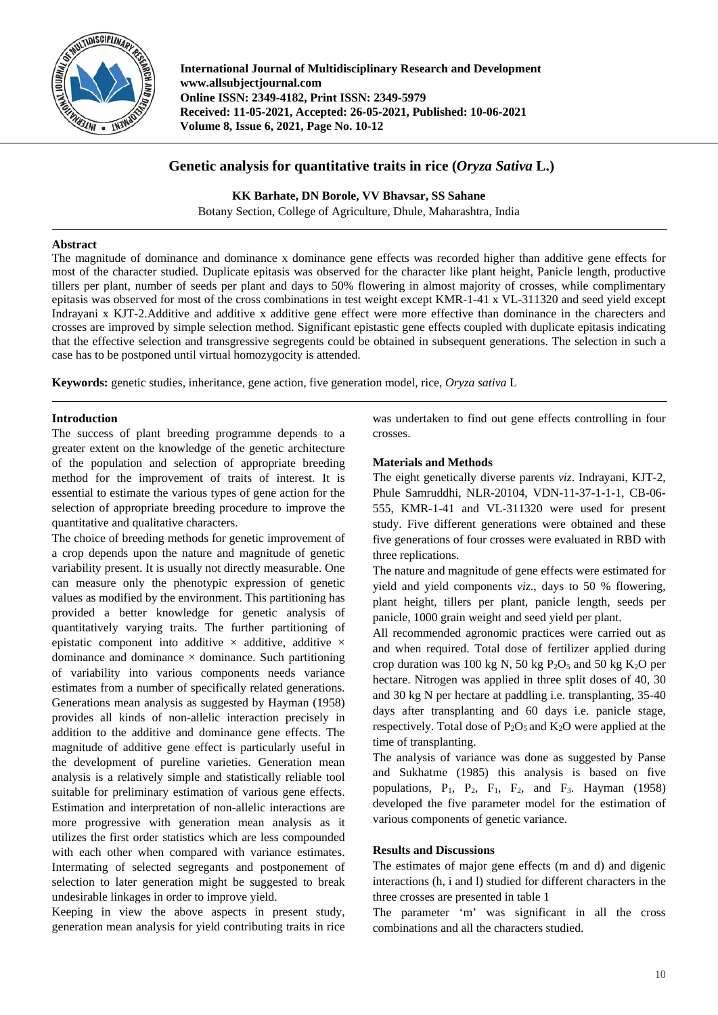

**International Journal of Multidisciplinary Research and Development www.allsubjectjournal.com Online ISSN: 2349-4182, Print ISSN: 2349-5979 Received: 11-05-2021, Accepted: 26-05-2021, Published: 10-06-2021 Volume 8, Issue 6, 2021, Page No. 10-12**

# **Genetic analysis for quantitative traits in rice (***Oryza Sativa* **L.)**

**KK Barhate, DN Borole, VV Bhavsar, SS Sahane**

Botany Section, College of Agriculture, Dhule, Maharashtra, India

## **Abstract**

The magnitude of dominance and dominance x dominance gene effects was recorded higher than additive gene effects for most of the character studied. Duplicate epitasis was observed for the character like plant height, Panicle length, productive tillers per plant, number of seeds per plant and days to 50% flowering in almost majority of crosses, while complimentary epitasis was observed for most of the cross combinations in test weight except KMR-1-41 x VL-311320 and seed yield except Indrayani x KJT-2.Additive and additive x additive gene effect were more effective than dominance in the charecters and crosses are improved by simple selection method. Significant epistastic gene effects coupled with duplicate epitasis indicating that the effective selection and transgressive segregents could be obtained in subsequent generations. The selection in such a case has to be postponed until virtual homozygocity is attended.

**Keywords:** genetic studies, inheritance, gene action, five generation model, rice, *Oryza sativa* L

## **Introduction**

The success of plant breeding programme depends to a greater extent on the knowledge of the genetic architecture of the population and selection of appropriate breeding method for the improvement of traits of interest. It is essential to estimate the various types of gene action for the selection of appropriate breeding procedure to improve the quantitative and qualitative characters.

The choice of breeding methods for genetic improvement of a crop depends upon the nature and magnitude of genetic variability present. It is usually not directly measurable. One can measure only the phenotypic expression of genetic values as modified by the environment. This partitioning has provided a better knowledge for genetic analysis of quantitatively varying traits. The further partitioning of epistatic component into additive  $\times$  additive, additive  $\times$ dominance and dominance  $\times$  dominance. Such partitioning of variability into various components needs variance estimates from a number of specifically related generations. Generations mean analysis as suggested by Hayman (1958) provides all kinds of non-allelic interaction precisely in addition to the additive and dominance gene effects. The magnitude of additive gene effect is particularly useful in the development of pureline varieties. Generation mean analysis is a relatively simple and statistically reliable tool suitable for preliminary estimation of various gene effects. Estimation and interpretation of non-allelic interactions are more progressive with generation mean analysis as it utilizes the first order statistics which are less compounded with each other when compared with variance estimates. Intermating of selected segregants and postponement of selection to later generation might be suggested to break undesirable linkages in order to improve yield.

Keeping in view the above aspects in present study, generation mean analysis for yield contributing traits in rice

was undertaken to find out gene effects controlling in four crosses.

## **Materials and Methods**

The eight genetically diverse parents *viz*. Indrayani, KJT-2, Phule Samruddhi, NLR-20104, VDN-11-37-1-1-1, CB-06- 555, KMR-1-41 and VL-311320 were used for present study. Five different generations were obtained and these five generations of four crosses were evaluated in RBD with three replications.

The nature and magnitude of gene effects were estimated for yield and yield components *viz*., days to 50 % flowering, plant height, tillers per plant, panicle length, seeds per panicle, 1000 grain weight and seed yield per plant.

All recommended agronomic practices were carried out as and when required. Total dose of fertilizer applied during crop duration was 100 kg N, 50 kg P<sub>2</sub>O<sub>5</sub> and 50 kg K<sub>2</sub>O per hectare. Nitrogen was applied in three split doses of 40, 30 and 30 kg N per hectare at paddling i.e. transplanting, 35-40 days after transplanting and 60 days i.e. panicle stage, respectively. Total dose of  $P_2O_5$  and  $K_2O$  were applied at the time of transplanting.

The analysis of variance was done as suggested by Panse and Sukhatme (1985) this analysis is based on five populations,  $P_1$ ,  $P_2$ ,  $F_1$ ,  $F_2$ , and  $F_3$ . Hayman (1958) developed the five parameter model for the estimation of various components of genetic variance.

## **Results and Discussions**

The estimates of major gene effects (m and d) and digenic interactions (h, i and l) studied for different characters in the three crosses are presented in table 1

The parameter 'm' was significant in all the cross combinations and all the characters studied.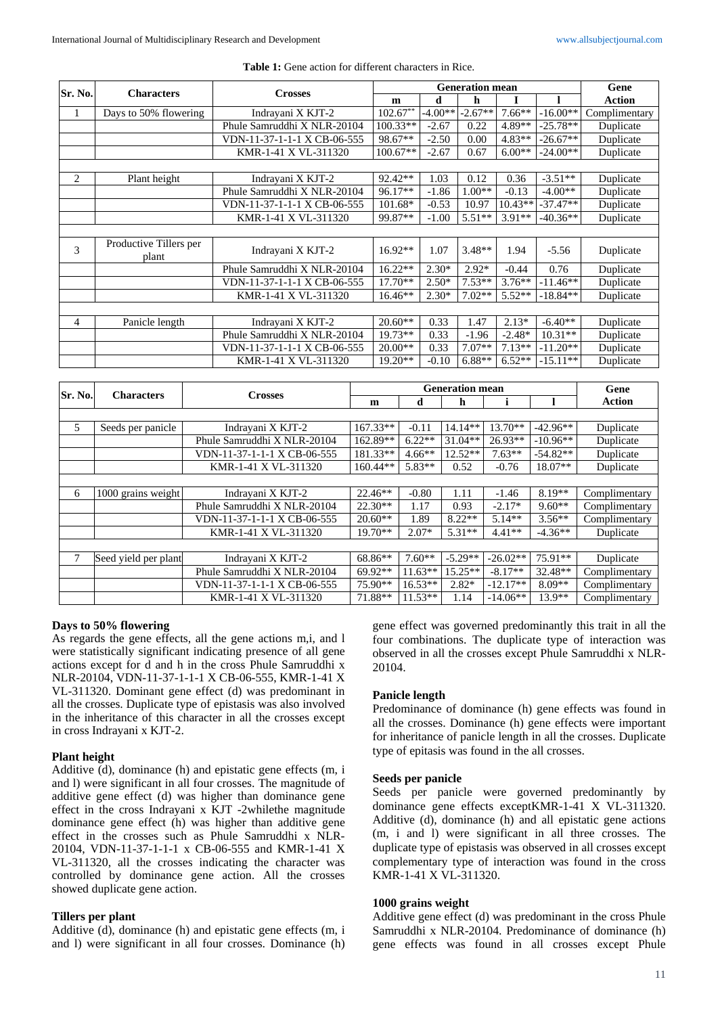|                |                                 |  |                             |  | <b>Generation mean</b>         |                      |           |           |             |              | Gene          |
|----------------|---------------------------------|--|-----------------------------|--|--------------------------------|----------------------|-----------|-----------|-------------|--------------|---------------|
| Sr. No.        | <b>Characters</b>               |  | <b>Crosses</b>              |  | $\mathbf m$                    |                      | d         | h         | I           | ı            | <b>Action</b> |
| $\mathbf{1}$   | Days to 50% flowering           |  | Indrayani X KJT-2           |  | $102.67**$                     |                      | $-4.00**$ | $-2.67**$ | $7.66**$    | $-16.00**$   | Complimentary |
|                |                                 |  | Phule Samruddhi X NLR-20104 |  | $100.33**$                     |                      | $-2.67$   | 0.22      | 4.89**      | $-25.78**$   | Duplicate     |
|                |                                 |  | VDN-11-37-1-1-1 X CB-06-555 |  | 98.67**                        |                      | $-2.50$   | 0.00      | $4.83**$    | $-26.67**$   | Duplicate     |
|                |                                 |  | KMR-1-41 X VL-311320        |  | $100.67**$                     |                      | $-2.67$   | 0.67      | $6.00**$    | $-24.00**$   | Duplicate     |
|                |                                 |  |                             |  |                                |                      |           |           |             |              |               |
| 2              | Plant height                    |  | Indrayani X KJT-2           |  | 92.42**                        |                      | 1.03      | 0.12      | 0.36        | $-3.51**$    | Duplicate     |
|                |                                 |  | Phule Samruddhi X NLR-20104 |  | 96.17**                        |                      | $-1.86$   | $1.00**$  | $-0.13$     | $-4.00**$    | Duplicate     |
|                |                                 |  | VDN-11-37-1-1-1 X CB-06-555 |  | 101.68*                        |                      | $-0.53$   | 10.97     | $10.43**$   | $-37.47**$   | Duplicate     |
|                |                                 |  | KMR-1-41 X VL-311320        |  | 99.87**                        |                      | $-1.00$   | $5.51**$  | $3.91**$    | $-40.36**$   | Duplicate     |
|                |                                 |  |                             |  |                                |                      |           |           |             |              |               |
| 3              | Productive Tillers per<br>plant |  | Indrayani X KJT-2           |  | $16.92**$                      |                      | 1.07      | $3.48**$  | 1.94        | $-5.56$      | Duplicate     |
|                |                                 |  | Phule Samruddhi X NLR-20104 |  |                                | $16.22**$<br>$2.30*$ |           | $2.92*$   | $-0.44$     | 0.76         | Duplicate     |
|                |                                 |  | VDN-11-37-1-1-1 X CB-06-555 |  | $17.70**$                      |                      | $2.50*$   | $7.53**$  | $3.76**$    | $-11.46**$   | Duplicate     |
|                |                                 |  | KMR-1-41 X VL-311320        |  | $16.46**$                      |                      | $2.30*$   | $7.02**$  | $5.52**$    | $-18.84**$   | Duplicate     |
|                |                                 |  |                             |  |                                |                      |           |           |             |              |               |
| $\overline{4}$ | Panicle length                  |  | Indrayani X KJT-2           |  | $20.60**$                      |                      | 0.33      | 1.47      | $2.13*$     | $-6.40**$    | Duplicate     |
|                |                                 |  | Phule Samruddhi X NLR-20104 |  |                                | $19.73**$<br>0.33    |           | $-1.96$   | $-2.48*$    | $10.31**$    | Duplicate     |
|                |                                 |  | VDN-11-37-1-1-1 X CB-06-555 |  | $20.00**$                      |                      | 0.33      | $7.07**$  | $7.13**$    | $-11.20**$   | Duplicate     |
|                |                                 |  | KMR-1-41 X VL-311320        |  |                                | 19.20**<br>$-0.10$   |           | $6.88**$  | $6.52**$    | $-15.11**$   | Duplicate     |
|                |                                 |  |                             |  |                                |                      |           |           |             |              |               |
| Sr. No.        | <b>Characters</b>               |  | <b>Crosses</b>              |  | <b>Generation</b> mean<br>Gene |                      |           |           |             |              |               |
|                |                                 |  |                             |  | m                              |                      | d         | h         | $\mathbf i$ | $\mathbf{I}$ | <b>Action</b> |
|                |                                 |  |                             |  |                                |                      |           |           |             |              |               |
| 5              | Seeds per panicle               |  | Indrayani X KJT-2           |  | 167.33**                       |                      | $-0.11$   | $14.14**$ | $13.70**$   | $-42.96**$   | Duplicate     |
|                |                                 |  | Phule Samruddhi X NLR-20104 |  | 162.89**                       |                      | $6.22**$  | $31.04**$ | 26.93**     | $-10.96**$   | Duplicate     |
|                |                                 |  | VDN-11-37-1-1-1 X CB-06-555 |  | 181.33**                       |                      | $4.66**$  | $12.52**$ | $7.63**$    | $-54.82**$   | Duplicate     |
|                |                                 |  | KMR-1-41 X VL-311320        |  | 160.44**                       |                      | 5.83**    | 0.52      | $-0.76$     | 18.07**      | Duplicate     |
|                |                                 |  |                             |  |                                |                      |           |           |             |              |               |
| 6              | 1000 grains weight              |  | Indrayani X KJT-2           |  | 22.46**                        |                      | $-0.80$   | 1.11      | $-1.46$     | 8.19**       | Complimentary |
|                |                                 |  | Phule Samruddhi X NLR-20104 |  | 22.30**                        |                      | 1.17      | 0.93      | $-2.17*$    | $9.60**$     | Complimentary |
|                |                                 |  | VDN-11-37-1-1-1 X CB-06-555 |  | $20.60**$                      |                      | 1.89      | $8.22**$  | $5.14**$    | $3.56**$     | Complimentary |
|                |                                 |  | KMR-1-41 X VL-311320        |  | $19.70**$                      |                      | $2.07*$   | 5.31**    | $4.41**$    | $-4.36**$    | Duplicate     |
|                |                                 |  |                             |  |                                |                      |           |           |             |              |               |
| 7              | Seed yield per plant            |  | Indrayani X KJT-2           |  | 68.86**                        |                      | $7.60**$  | $-5.29**$ | $-26.02**$  | 75.91**      | Duplicate     |
|                |                                 |  | Phule Samruddhi X NLR-20104 |  | 69.92**                        |                      | $11.63**$ | $15.25**$ | $-8.17**$   | 32.48**      | Complimentary |

**Table 1:** Gene action for different characters in Rice.

#### **Days to 50% flowering**

As regards the gene effects, all the gene actions m,i, and l were statistically significant indicating presence of all gene actions except for d and h in the cross Phule Samruddhi x NLR-20104, VDN-11-37-1-1-1 X CB-06-555, KMR-1-41 X VL-311320. Dominant gene effect (d) was predominant in all the crosses. Duplicate type of epistasis was also involved in the inheritance of this character in all the crosses except in cross Indrayani x KJT-2.

### **Plant height**

Additive (d), dominance (h) and epistatic gene effects (m, i and l) were significant in all four crosses. The magnitude of additive gene effect (d) was higher than dominance gene effect in the cross Indrayani x KJT -2whilethe magnitude dominance gene effect (h) was higher than additive gene effect in the crosses such as Phule Samruddhi x NLR-20104, VDN-11-37-1-1-1 x CB-06-555 and KMR-1-41 X VL-311320, all the crosses indicating the character was controlled by dominance gene action. All the crosses showed duplicate gene action.

#### **Tillers per plant**

Additive (d), dominance (h) and epistatic gene effects (m, i and l) were significant in all four crosses. Dominance (h) gene effect was governed predominantly this trait in all the four combinations. The duplicate type of interaction was observed in all the crosses except Phule Samruddhi x NLR-20104.

#### **Panicle length**

VDN-11-37-1-1-1 X CB-06-555 75.90\*\* 16.53\*\* 2.82\* -12.17\*\* 8.09\*\* Complimentary KMR-1-41 X VL-311320 71.88\*\* 11.53\*\* 1.14 -14.06\*\* 13.9\*\* Complimentary

> Predominance of dominance (h) gene effects was found in all the crosses. Dominance (h) gene effects were important for inheritance of panicle length in all the crosses. Duplicate type of epitasis was found in the all crosses.

### **Seeds per panicle**

Seeds per panicle were governed predominantly by dominance gene effects exceptKMR-1-41 X VL-311320. Additive (d), dominance (h) and all epistatic gene actions (m, i and l) were significant in all three crosses. The duplicate type of epistasis was observed in all crosses except complementary type of interaction was found in the cross KMR-1-41 X VL-311320.

## **1000 grains weight**

Additive gene effect (d) was predominant in the cross Phule Samruddhi x NLR-20104. Predominance of dominance (h) gene effects was found in all crosses except Phule